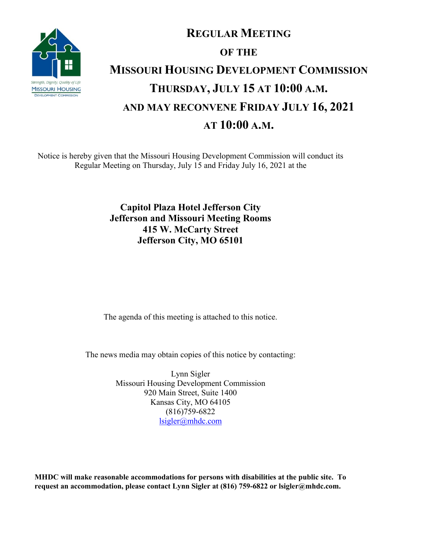

## **REGULAR MEETING OF THE MISSOURI HOUSING DEVELOPMENT COMMISSION THURSDAY, JULY 15 AT 10:00 A.M. AND MAY RECONVENE FRIDAY JULY 16, 2021 AT 10:00 A.M.**

Notice is hereby given that the Missouri Housing Development Commission will conduct its Regular Meeting on Thursday, July 15 and Friday July 16, 2021 at the

> **Capitol Plaza Hotel Jefferson City Jefferson and Missouri Meeting Rooms 415 W. McCarty Street Jefferson City, MO 65101**

The agenda of this meeting is attached to this notice.

The news media may obtain copies of this notice by contacting:

Lynn Sigler Missouri Housing Development Commission 920 Main Street, Suite 1400 Kansas City, MO 64105 (816)759-6822 [lsigler@mhdc.com](mailto:lsigler@mhdc.com)

**MHDC will make reasonable accommodations for persons with disabilities at the public site. To request an accommodation, please contact Lynn Sigler at (816) 759-6822 or lsigler@mhdc.com.**